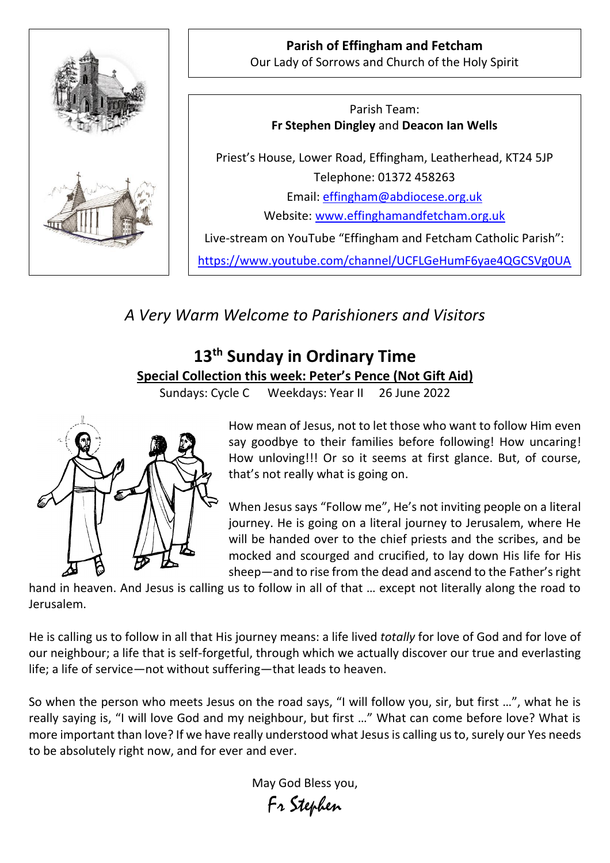

**Parish of Effingham and Fetcham** Our Lady of Sorrows and Church of the Holy Spirit

Parish Team: **Fr Stephen Dingley** and **Deacon Ian Wells**

Priest's House, Lower Road, Effingham, Leatherhead, KT24 5JP Telephone: 01372 458263 Email: [effingham@abdiocese.org.uk](mailto:effingham@abdiocese.org.uk) Website: [www.effinghamandfetcham.org.uk](http://www.effinghamandfetcham.org.uk/)

Live-stream on YouTube "Effingham and Fetcham Catholic Parish":

<https://www.youtube.com/channel/UCFLGeHumF6yae4QGCSVg0UA>

*A Very Warm Welcome to Parishioners and Visitors*

# **13th Sunday in Ordinary Time Special Collection this week: Peter's Pence (Not Gift Aid)**

Sundays: Cycle C Weekdays: Year II 26 June 2022



How mean of Jesus, not to let those who want to follow Him even say goodbye to their families before following! How uncaring! How unloving!!! Or so it seems at first glance. But, of course, that's not really what is going on.

When Jesus says "Follow me", He's not inviting people on a literal journey. He is going on a literal journey to Jerusalem, where He will be handed over to the chief priests and the scribes, and be mocked and scourged and crucified, to lay down His life for His sheep—and to rise from the dead and ascend to the Father's right

hand in heaven. And Jesus is calling us to follow in all of that … except not literally along the road to Jerusalem.

He is calling us to follow in all that His journey means: a life lived *totally* for love of God and for love of our neighbour; a life that is self-forgetful, through which we actually discover our true and everlasting life; a life of service—not without suffering—that leads to heaven.

So when the person who meets Jesus on the road says, "I will follow you, sir, but first …", what he is really saying is, "I will love God and my neighbour, but first …" What can come before love? What is more important than love? If we have really understood what Jesus is calling us to, surely our Yes needs to be absolutely right now, and for ever and ever.

> May God Bless you, Fr Stephen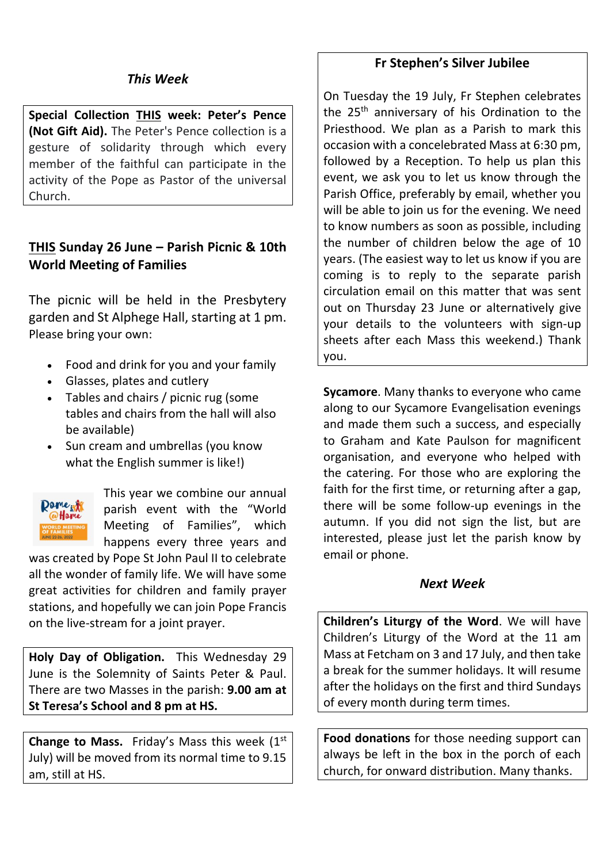# *This Week*

**Special Collection THIS week: Peter's Pence (Not Gift Aid).** The Peter's Pence collection is a gesture of solidarity through which every member of the faithful can participate in the activity of the Pope as Pastor of the universal Church.

# **THIS Sunday 26 June – Parish Picnic & 10th World Meeting of Families**

The picnic will be held in the Presbytery garden and St Alphege Hall, starting at 1 pm. Please bring your own:

- Food and drink for you and your family
- Glasses, plates and cutlery
- Tables and chairs / picnic rug (some tables and chairs from the hall will also be available)
- Sun cream and umbrellas (you know what the English summer is like!)



This year we combine our annual parish event with the "World Meeting of Families", which happens every three years and

was created by Pope St John Paul II to celebrate all the wonder of family life. We will have some great activities for children and family prayer stations, and hopefully we can join Pope Francis on the live-stream for a joint prayer.

**Holy Day of Obligation.** This Wednesday 29 June is the Solemnity of Saints Peter & Paul. There are two Masses in the parish: **9.00 am at St Teresa's School and 8 pm at HS.**

Change to Mass. Friday's Mass this week (1st July) will be moved from its normal time to 9.15 am, still at HS.

### **Fr Stephen's Silver Jubilee**

On Tuesday the 19 July, Fr Stephen celebrates the 25<sup>th</sup> anniversary of his Ordination to the Priesthood. We plan as a Parish to mark this occasion with a concelebrated Mass at 6:30 pm, followed by a Reception. To help us plan this event, we ask you to let us know through the Parish Office, preferably by email, whether you will be able to join us for the evening. We need to know numbers as soon as possible, including the number of children below the age of 10 years. (The easiest way to let us know if you are coming is to reply to the separate parish circulation email on this matter that was sent out on Thursday 23 June or alternatively give your details to the volunteers with sign-up sheets after each Mass this weekend.) Thank you.

**Sycamore**. Many thanks to everyone who came along to our Sycamore Evangelisation evenings and made them such a success, and especially to Graham and Kate Paulson for magnificent organisation, and everyone who helped with the catering. For those who are exploring the faith for the first time, or returning after a gap, there will be some follow-up evenings in the autumn. If you did not sign the list, but are interested, please just let the parish know by email or phone.

#### *Next Week*

**Children's Liturgy of the Word**. We will have Children's Liturgy of the Word at the 11 am Mass at Fetcham on 3 and 17 July, and then take a break for the summer holidays. It will resume after the holidays on the first and third Sundays of every month during term times.

**Food donations** for those needing support can always be left in the box in the porch of each church, for onward distribution. Many thanks.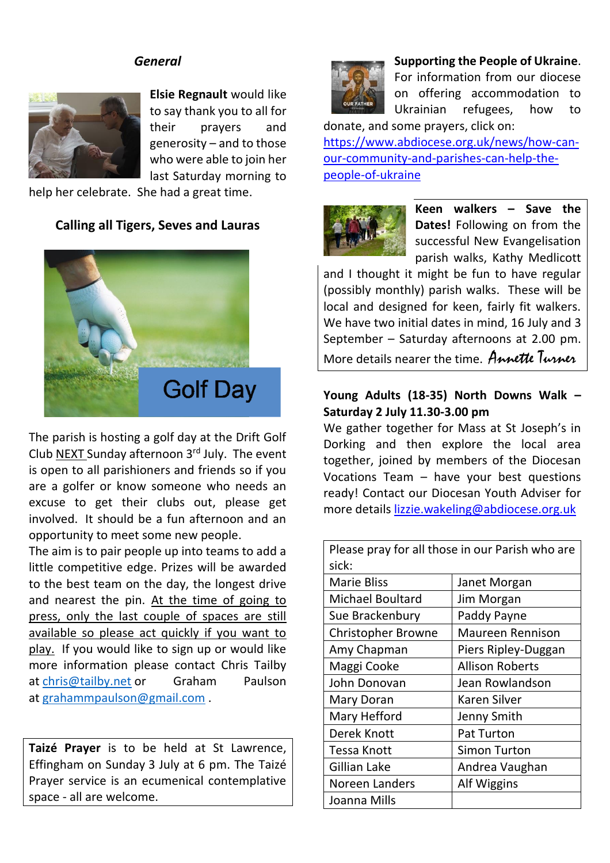# *General*



**Elsie Regnault** would like to say thank you to all for their prayers and generosity – and to those who were able to join her last Saturday morning to

help her celebrate. She had a great time.

# **Calling all Tigers, Seves and Lauras**



The parish is hosting a golf day at the Drift Golf Club NEXT Sunday afternoon  $3<sup>rd</sup>$  July. The event is open to all parishioners and friends so if you are a golfer or know someone who needs an excuse to get their clubs out, please get involved. It should be a fun afternoon and an opportunity to meet some new people.

The aim is to pair people up into teams to add a little competitive edge. Prizes will be awarded to the best team on the day, the longest drive and nearest the pin. At the time of going to press, only the last couple of spaces are still available so please act quickly if you want to play. If you would like to sign up or would like more information please contact Chris Tailby at [chris@tailby.net](mailto:chris@tailby.net) or Graham Paulson at [grahammpaulson@gmail.com](mailto:grahammpaulson@gmail.com) .

**Taizé Prayer** is to be held at St Lawrence, Effingham on Sunday 3 July at 6 pm. The Taizé Prayer service is an ecumenical contemplative space - all are welcome.



#### **Supporting the People of Ukraine**.

For information from our diocese on offering accommodation to Ukrainian refugees, how to donate, and some prayers, click on:

[https://www.abdiocese.org.uk/news/how-can](https://www.abdiocese.org.uk/news/how-can-our-community-and-parishes-can-help-the-people-of-ukraine)[our-community-and-parishes-can-help-the](https://www.abdiocese.org.uk/news/how-can-our-community-and-parishes-can-help-the-people-of-ukraine)[people-of-ukraine](https://www.abdiocese.org.uk/news/how-can-our-community-and-parishes-can-help-the-people-of-ukraine)



**Keen walkers – Save the Dates!** Following on from the successful New Evangelisation parish walks, Kathy Medlicott

and I thought it might be fun to have regular (possibly monthly) parish walks. These will be local and designed for keen, fairly fit walkers. We have two initial dates in mind, 16 July and 3 September – Saturday afternoons at 2.00 pm. More details nearer the time.Annette Turner

# **Young Adults (18-35) North Downs Walk – Saturday 2 July 11.30-3.00 pm**

We gather together for Mass at St Joseph's in Dorking and then explore the local area together, joined by members of the Diocesan Vocations Team – have your best questions ready! Contact our Diocesan Youth Adviser for more details [lizzie.wakeling@abdiocese.org.uk](mailto:lizzie.wakeling@abdiocese.org.uk)

| Please pray for all those in our Parish who are |                         |  |  |  |
|-------------------------------------------------|-------------------------|--|--|--|
| sick:                                           |                         |  |  |  |
| <b>Marie Bliss</b>                              | Janet Morgan            |  |  |  |
| <b>Michael Boultard</b>                         | Jim Morgan              |  |  |  |
| Sue Brackenbury                                 | Paddy Payne             |  |  |  |
| <b>Christopher Browne</b>                       | <b>Maureen Rennison</b> |  |  |  |
| Amy Chapman                                     | Piers Ripley-Duggan     |  |  |  |
| Maggi Cooke                                     | <b>Allison Roberts</b>  |  |  |  |
| John Donovan                                    | Jean Rowlandson         |  |  |  |
| Mary Doran                                      | <b>Karen Silver</b>     |  |  |  |
| Mary Hefford                                    | Jenny Smith             |  |  |  |
| Derek Knott                                     | <b>Pat Turton</b>       |  |  |  |
| Tessa Knott                                     | <b>Simon Turton</b>     |  |  |  |
| Gillian Lake                                    | Andrea Vaughan          |  |  |  |
| Noreen Landers                                  | Alf Wiggins             |  |  |  |
| Joanna Mills                                    |                         |  |  |  |